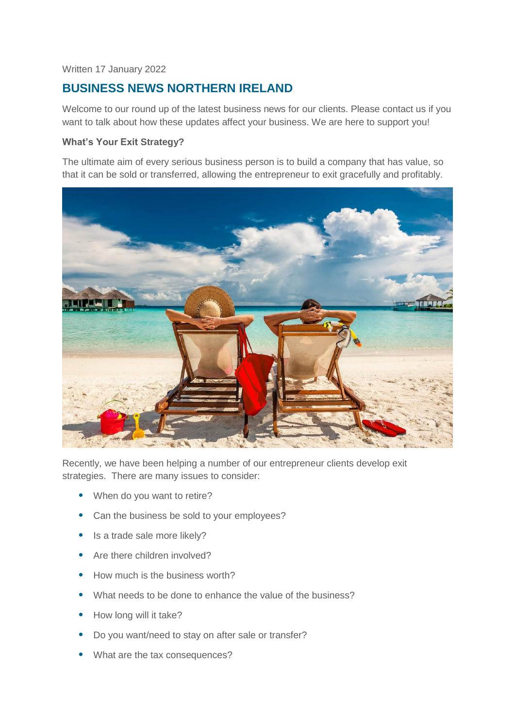### Written 17 January 2022

# **BUSINESS NEWS NORTHERN IRELAND**

Welcome to our round up of the latest business news for our clients. Please contact us if you want to talk about how these updates affect your business. We are here to support you!

### **What's Your Exit Strategy?**

The ultimate aim of every serious business person is to build a company that has value, so that it can be sold or transferred, allowing the entrepreneur to exit gracefully and profitably.



Recently, we have been helping a number of our entrepreneur clients develop exit strategies. There are many issues to consider:

- When do you want to retire?
- Can the business be sold to your employees?
- Is a trade sale more likely?
- Are there children involved?
- How much is the business worth?
- What needs to be done to enhance the value of the business?
- How long will it take?
- Do you want/need to stay on after sale or transfer?
- What are the tax consequences?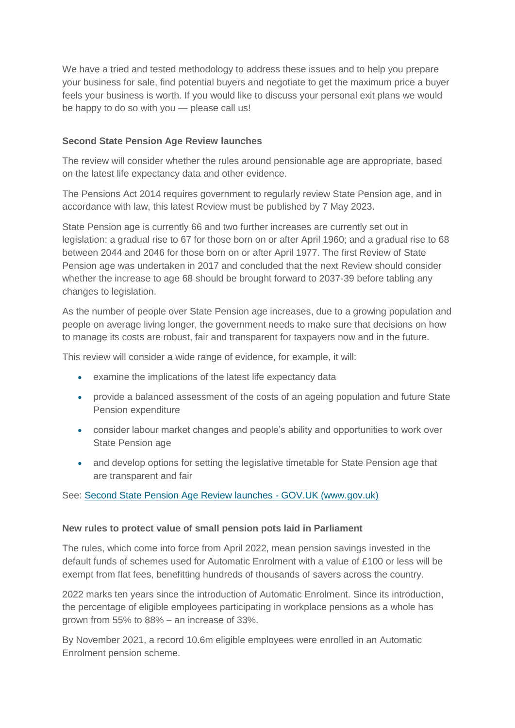We have a tried and tested methodology to address these issues and to help you prepare your business for sale, find potential buyers and negotiate to get the maximum price a buyer feels your business is worth. If you would like to discuss your personal exit plans we would be happy to do so with you — please call us!

### **Second State Pension Age Review launches**

The review will consider whether the rules around pensionable age are appropriate, based on the latest life expectancy data and other evidence.

The Pensions Act 2014 requires government to regularly review State Pension age, and in accordance with law, this latest Review must be published by 7 May 2023.

State Pension age is currently 66 and two further increases are currently set out in legislation: a gradual rise to 67 for those born on or after April 1960; and a gradual rise to 68 between 2044 and 2046 for those born on or after April 1977. The first Review of State Pension age was undertaken in 2017 and concluded that the next Review should consider whether the increase to age 68 should be brought forward to 2037-39 before tabling any changes to legislation.

As the number of people over State Pension age increases, due to a growing population and people on average living longer, the government needs to make sure that decisions on how to manage its costs are robust, fair and transparent for taxpayers now and in the future.

This review will consider a wide range of evidence, for example, it will:

- examine the implications of the latest life expectancy data
- provide a balanced assessment of the costs of an ageing population and future State Pension expenditure
- consider labour market changes and people's ability and opportunities to work over State Pension age
- and develop options for setting the legislative timetable for State Pension age that are transparent and fair

# See: [Second State Pension Age Review launches -](https://www.gov.uk/government/news/second-state-pension-age-review-launches) GOV.UK (www.gov.uk)

#### **New rules to protect value of small pension pots laid in Parliament**

The rules, which come into force from April 2022, mean pension savings invested in the default funds of schemes used for Automatic Enrolment with a value of £100 or less will be exempt from flat fees, benefitting hundreds of thousands of savers across the country.

2022 marks ten years since the introduction of Automatic Enrolment. Since its introduction, the percentage of eligible employees participating in workplace pensions as a whole has grown from 55% to 88% – an increase of 33%.

By November 2021, a record 10.6m eligible employees were enrolled in an Automatic Enrolment pension scheme.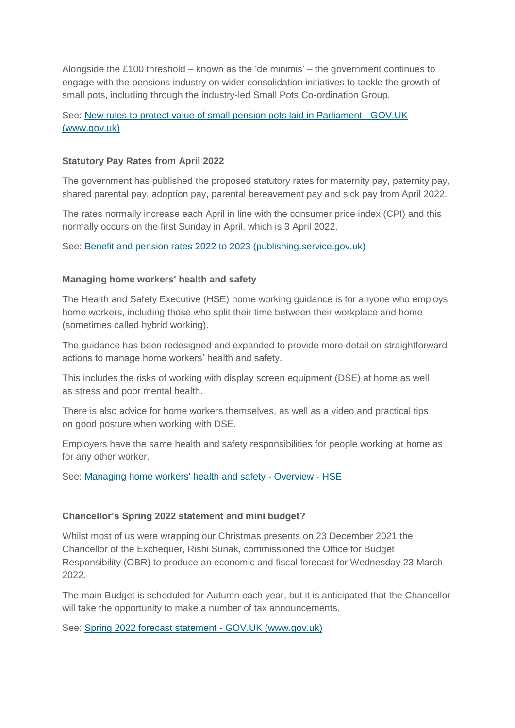Alongside the £100 threshold – known as the 'de minimis' – the government continues to engage with the pensions industry on wider consolidation initiatives to tackle the growth of small pots, including through the industry-led Small Pots Co-ordination Group.

# See: [New rules to protect value of small pension pots laid in Parliament -](https://www.gov.uk/government/news/new-rules-to-protect-value-of-small-pension-pots-laid-in-parliament) GOV.UK [\(www.gov.uk\)](https://www.gov.uk/government/news/new-rules-to-protect-value-of-small-pension-pots-laid-in-parliament)

### **Statutory Pay Rates from April 2022**

The government has published the proposed statutory rates for maternity pay, paternity pay, shared parental pay, adoption pay, parental bereavement pay and sick pay from April 2022.

The rates normally increase each April in line with the consumer price index (CPI) and this normally occurs on the first Sunday in April, which is 3 April 2022.

See: [Benefit and pension rates 2022 to 2023 \(publishing.service.gov.uk\)](https://assets.publishing.service.gov.uk/government/uploads/system/uploads/attachment_data/file/1036433/benefit-and-pension-rates-2022-2023.pdf)

#### **Managing home workers' health and safety**

The Health and Safety Executive (HSE) home working guidance is for anyone who employs home workers, including those who split their time between their workplace and home (sometimes called hybrid working).

The guidance has been redesigned and expanded to provide more detail on straightforward actions to manage home workers' health and safety.

This includes the risks of working with display screen equipment (DSE) at home as well as stress and poor mental health.

There is also advice for home workers themselves, as well as a video and practical tips on good posture when working with DSE.

Employers have the same health and safety responsibilities for people working at home as for any other worker.

See: [Managing home workers' health and safety -](https://www.hse.gov.uk/home-working/employer/index.htm?utm_source=govdelivery&utm_medium=email&utm_campaign=guidance-push&utm_term=home-working-employers&utm_content=msd-5-jan-22) Overview - HSE

#### **Chancellor's Spring 2022 statement and mini budget?**

Whilst most of us were wrapping our Christmas presents on 23 December 2021 the Chancellor of the Exchequer, Rishi Sunak, commissioned the Office for Budget Responsibility (OBR) to produce an economic and fiscal forecast for Wednesday 23 March 2022.

The main Budget is scheduled for Autumn each year, but it is anticipated that the Chancellor will take the opportunity to make a number of tax announcements.

See: [Spring 2022 forecast statement -](https://www.gov.uk/government/publications/forecast-2022-date-announcement/spring-2022-forecast-statement) GOV.UK (www.gov.uk)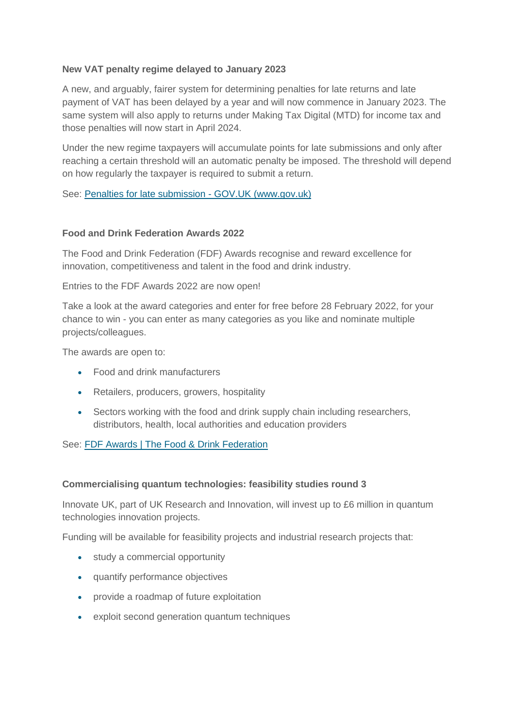### **New VAT penalty regime delayed to January 2023**

A new, and arguably, fairer system for determining penalties for late returns and late payment of VAT has been delayed by a year and will now commence in January 2023. The same system will also apply to returns under Making Tax Digital (MTD) for income tax and those penalties will now start in April 2024.

Under the new regime taxpayers will accumulate points for late submissions and only after reaching a certain threshold will an automatic penalty be imposed. The threshold will depend on how regularly the taxpayer is required to submit a return.

See: [Penalties for late submission -](https://www.gov.uk/government/publications/penalties-for-late-submission/penalties-for-late-submission) GOV.UK (www.gov.uk)

#### **Food and Drink Federation Awards 2022**

The Food and Drink Federation (FDF) Awards recognise and reward excellence for innovation, competitiveness and talent in the food and drink industry.

Entries to the FDF Awards 2022 are now open!

Take a look at the award categories and enter for free before 28 February 2022, for your chance to win - you can enter as many categories as you like and nominate multiple projects/colleagues.

The awards are open to:

- Food and drink manufacturers
- Retailers, producers, growers, hospitality
- Sectors working with the food and drink supply chain including researchers, distributors, health, local authorities and education providers

See: [FDF Awards | The Food & Drink Federation](https://www.fdf.org.uk/fdf/events-and-meetings/fdf-awards/)

#### **Commercialising quantum technologies: feasibility studies round 3**

Innovate UK, part of UK Research and Innovation, will invest up to £6 million in quantum technologies innovation projects.

Funding will be available for feasibility projects and industrial research projects that:

- study a commercial opportunity
- quantify performance objectives
- provide a roadmap of future exploitation
- exploit second generation quantum techniques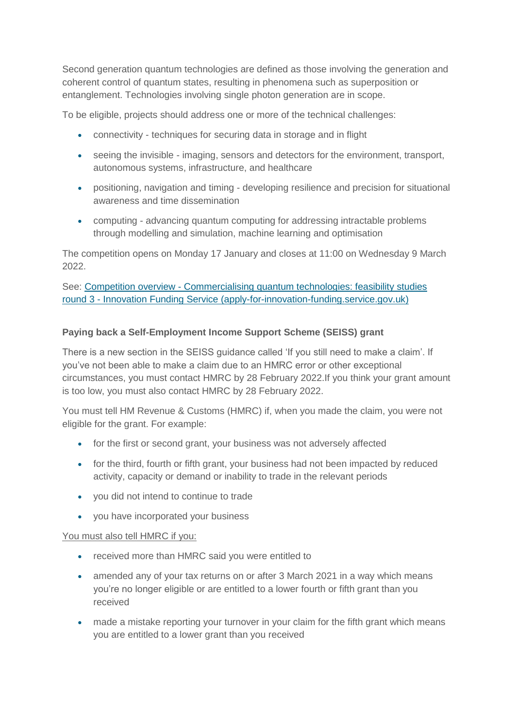Second generation quantum technologies are defined as those involving the generation and coherent control of quantum states, resulting in phenomena such as superposition or entanglement. Technologies involving single photon generation are in scope.

To be eligible, projects should address one or more of the technical challenges:

- connectivity techniques for securing data in storage and in flight
- seeing the invisible imaging, sensors and detectors for the environment, transport, autonomous systems, infrastructure, and healthcare
- positioning, navigation and timing developing resilience and precision for situational awareness and time dissemination
- computing advancing quantum computing for addressing intractable problems through modelling and simulation, machine learning and optimisation

The competition opens on Monday 17 January and closes at 11:00 on Wednesday 9 March 2022.

See: Competition overview - [Commercialising quantum technologies: feasibility studies](https://apply-for-innovation-funding.service.gov.uk/competition/1077/overview)  round 3 - [Innovation Funding Service \(apply-for-innovation-funding.service.gov.uk\)](https://apply-for-innovation-funding.service.gov.uk/competition/1077/overview)

# **Paying back a Self-Employment Income Support Scheme (SEISS) grant**

There is a new section in the SEISS guidance called 'If you still need to make a claim'. If you've not been able to make a claim due to an HMRC error or other exceptional circumstances, you must contact HMRC by 28 February 2022.If you think your grant amount is too low, you must also contact HMRC by 28 February 2022.

You must tell HM Revenue & Customs (HMRC) if, when you made the claim, you were not eligible for the grant. For example:

- for the first or second grant, your business was not adversely affected
- for the third, fourth or fifth grant, your business had not been impacted by reduced activity, capacity or demand or inability to trade in the relevant periods
- you did not intend to continue to trade
- you have incorporated your business

#### You must also tell HMRC if you:

- received more than HMRC said you were entitled to
- amended any of your tax returns on or after 3 March 2021 in a way which means you're no longer eligible or are entitled to a lower fourth or fifth grant than you received
- made a mistake reporting your turnover in your claim for the fifth grant which means you are entitled to a lower grant than you received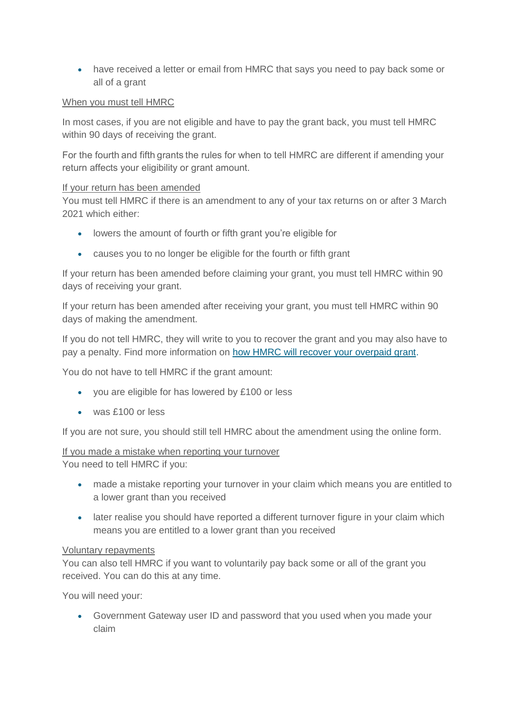have received a letter or email from HMRC that says you need to pay back some or all of a grant

### When you must tell HMRC

In most cases, if you are not eligible and have to pay the grant back, you must tell HMRC within 90 days of receiving the grant.

For the fourth and fifth grants the rules for when to tell HMRC are different if amending your return affects your eligibility or grant amount. 

#### If your return has been amended

You must tell HMRC if there is an amendment to any of your tax returns on or after 3 March 2021 which either:

- lowers the amount of fourth or fifth grant you're eligible for
- causes you to no longer be eligible for the fourth or fifth grant

If your return has been amended before claiming your grant, you must tell HMRC within 90 days of receiving your grant.

If your return has been amended after receiving your grant, you must tell HMRC within 90 days of making the amendment.

If you do not tell HMRC, they will write to you to recover the grant and you may also have to pay a penalty. Find more information on [how HMRC will recover your overpaid grant.](https://www.gov.uk/government/publications/penalties-for-not-telling-hmrc-about-self-employment-income-support-scheme-grant-overpayments-ccfs47)

You do not have to tell HMRC if the grant amount:

- you are eligible for has lowered by £100 or less
- was £100 or less

If you are not sure, you should still tell HMRC about the amendment using the online form.

# If you made a mistake when reporting your turnover

You need to tell HMRC if you:

- made a mistake reporting your turnover in your claim which means you are entitled to a lower grant than you received
- later realise you should have reported a different turnover figure in your claim which means you are entitled to a lower grant than you received

#### Voluntary repayments

You can also tell HMRC if you want to voluntarily pay back some or all of the grant you received. You can do this at any time.

You will need your:

 Government Gateway user ID and password that you used when you made your claim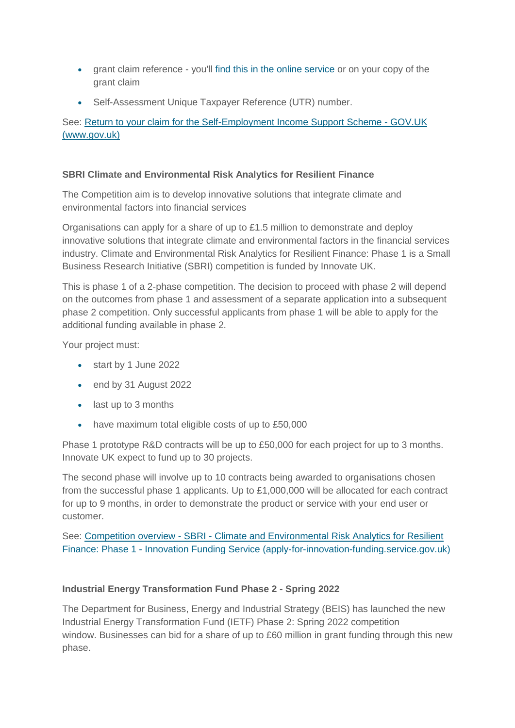- grant claim reference you'll [find this in the online service](https://www.tax.service.gov.uk/self-employment-support/enter-unique-taxpayer-reference) or on your copy of the grant claim
- Self-Assessment Unique Taxpayer Reference (UTR) number.

See: [Return to your claim for the Self-Employment Income Support Scheme -](https://www.gov.uk/guidance/return-to-your-claim-for-the-self-employment-income-support-scheme?utm_medium=email&utm_campaign=govuk-notifications-topic&utm_source=1bdd20e5-3387-450b-b234-ecdb7a8ad0d5&utm_content=daily) GOV.UK [\(www.gov.uk\)](https://www.gov.uk/guidance/return-to-your-claim-for-the-self-employment-income-support-scheme?utm_medium=email&utm_campaign=govuk-notifications-topic&utm_source=1bdd20e5-3387-450b-b234-ecdb7a8ad0d5&utm_content=daily)

# **SBRI Climate and Environmental Risk Analytics for Resilient Finance**

The Competition aim is to develop innovative solutions that integrate climate and environmental factors into financial services

Organisations can apply for a share of up to £1.5 million to demonstrate and deploy innovative solutions that integrate climate and environmental factors in the financial services industry. Climate and Environmental Risk Analytics for Resilient Finance: Phase 1 is a Small Business Research Initiative (SBRI) competition is funded by Innovate UK.

This is phase 1 of a 2-phase competition. The decision to proceed with phase 2 will depend on the outcomes from phase 1 and assessment of a separate application into a subsequent phase 2 competition. Only successful applicants from phase 1 will be able to apply for the additional funding available in phase 2.

Your project must:

- start by 1 June 2022
- end by 31 August 2022
- last up to 3 months
- have maximum total eligible costs of up to £50,000

Phase 1 prototype R&D contracts will be up to £50,000 for each project for up to 3 months. Innovate UK expect to fund up to 30 projects.

The second phase will involve up to 10 contracts being awarded to organisations chosen from the successful phase 1 applicants. Up to £1,000,000 will be allocated for each contract for up to 9 months, in order to demonstrate the product or service with your end user or customer.

See: Competition overview - SBRI - [Climate and Environmental Risk Analytics for Resilient](https://apply-for-innovation-funding.service.gov.uk/competition/1070/overview)  Finance: Phase 1 - [Innovation Funding Service \(apply-for-innovation-funding.service.gov.uk\)](https://apply-for-innovation-funding.service.gov.uk/competition/1070/overview)

# **Industrial Energy Transformation Fund Phase 2 - Spring 2022**

The Department for Business, Energy and Industrial Strategy (BEIS) has launched the new Industrial Energy Transformation Fund (IETF) Phase 2: Spring 2022 competition window. Businesses can bid for a share of up to £60 million in grant funding through this new phase.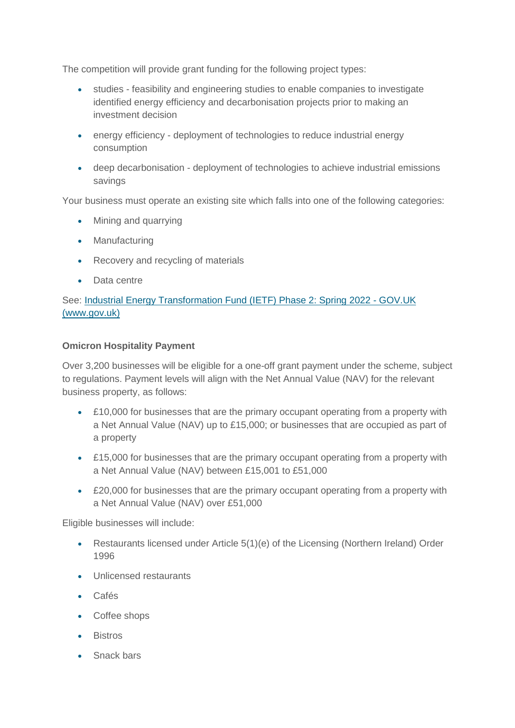The competition will provide grant funding for the following project types:

- studies feasibility and engineering studies to enable companies to investigate identified energy efficiency and decarbonisation projects prior to making an investment decision
- energy efficiency deployment of technologies to reduce industrial energy consumption
- deep decarbonisation deployment of technologies to achieve industrial emissions savings

Your business must operate an existing site which falls into one of the following categories:

- Mining and quarrying
- Manufacturing
- Recovery and recycling of materials
- Data centre

# See: [Industrial Energy Transformation Fund \(IETF\) Phase 2: Spring 2022 -](https://www.gov.uk/government/publications/industrial-energy-transformation-fund-ietf-phase-2-spring-2022) GOV.UK [\(www.gov.uk\)](https://www.gov.uk/government/publications/industrial-energy-transformation-fund-ietf-phase-2-spring-2022)

# **Omicron Hospitality Payment**

Over 3,200 businesses will be eligible for a one-off grant payment under the scheme, subject to regulations. Payment levels will align with the Net Annual Value (NAV) for the relevant business property, as follows:

- £10,000 for businesses that are the primary occupant operating from a property with a Net Annual Value (NAV) up to £15,000; or businesses that are occupied as part of a property
- £15,000 for businesses that are the primary occupant operating from a property with a Net Annual Value (NAV) between £15,001 to £51,000
- £20,000 for businesses that are the primary occupant operating from a property with a Net Annual Value (NAV) over £51,000

Eligible businesses will include:

- Restaurants licensed under Article 5(1)(e) of the Licensing (Northern Ireland) Order 1996
- Unlicensed restaurants
- Cafés
- Coffee shops
- Bistros
- Snack bars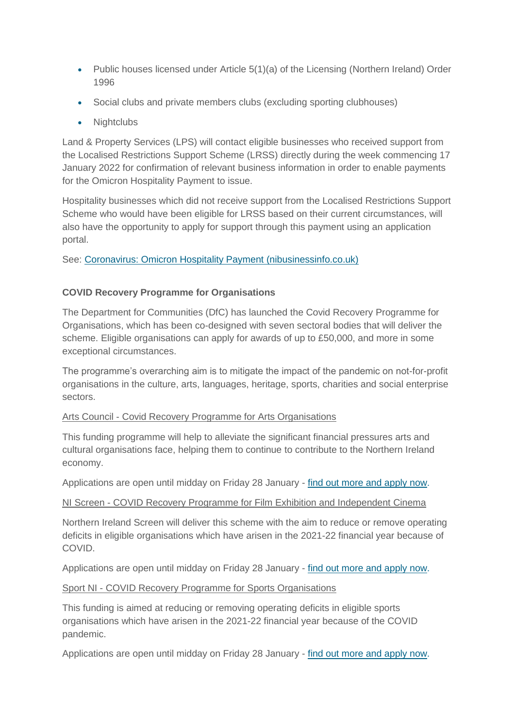- Public houses licensed under Article 5(1)(a) of the Licensing (Northern Ireland) Order 1996
- Social clubs and private members clubs (excluding sporting clubhouses)
- Nightclubs

Land & Property Services (LPS) will contact eligible businesses who received support from the Localised Restrictions Support Scheme (LRSS) directly during the week commencing 17 January 2022 for confirmation of relevant business information in order to enable payments for the Omicron Hospitality Payment to issue.

Hospitality businesses which did not receive support from the Localised Restrictions Support Scheme who would have been eligible for LRSS based on their current circumstances, will also have the opportunity to apply for support through this payment using an application portal.

See: [Coronavirus: Omicron Hospitality Payment \(nibusinessinfo.co.uk\)](https://www.nibusinessinfo.co.uk/content/coronavirus-omicron-hospitality-payment)

# **COVID Recovery Programme for Organisations**

The Department for Communities (DfC) has launched the Covid Recovery Programme for Organisations, which has been co-designed with seven sectoral bodies that will deliver the scheme. Eligible organisations can apply for awards of up to £50,000, and more in some exceptional circumstances.

The programme's overarching aim is to mitigate the impact of the pandemic on not-for-profit organisations in the culture, arts, languages, heritage, sports, charities and social enterprise sectors.

# Arts Council - Covid Recovery Programme for Arts Organisations

This funding programme will help to alleviate the significant financial pressures arts and cultural organisations face, helping them to continue to contribute to the Northern Ireland economy.

Applications are open until midday on Friday 28 January - [find out more and apply now.](http://artscouncil-ni.org/funding/scheme/covid-recovery-programme-for-organisations)

#### NI Screen - COVID Recovery Programme for Film Exhibition and Independent Cinema

Northern Ireland Screen will deliver this scheme with the aim to reduce or remove operating deficits in eligible organisations which have arisen in the 2021-22 financial year because of COVID.

Applications are open until midday on Friday 28 January - [find out more and apply now.](https://www.northernirelandscreen.co.uk/funding/covid-recovery-programme/)

# Sport NI - COVID Recovery Programme for Sports Organisations

This funding is aimed at reducing or removing operating deficits in eligible sports organisations which have arisen in the 2021-22 financial year because of the COVID pandemic.

Applications are open until midday on Friday 28 January - [find out more and apply now.](http://www.sportni.net/news/covid-recovery-programme-for-sports-organisations/)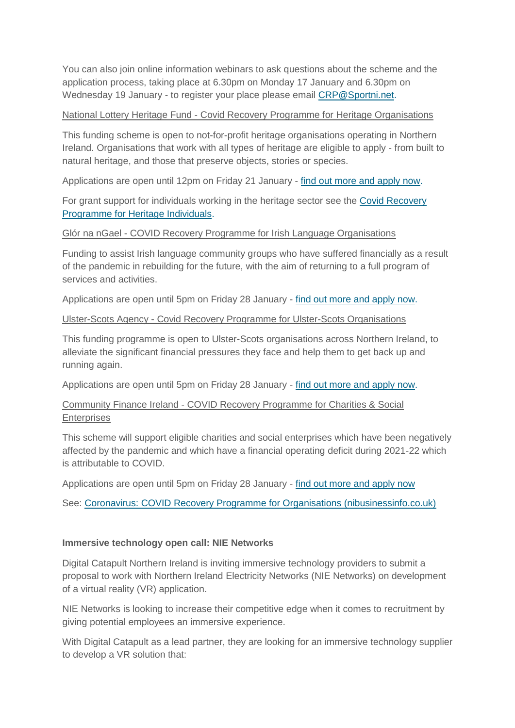You can also join online information webinars to ask questions about the scheme and the application process, taking place at 6.30pm on Monday 17 January and 6.30pm on Wednesday 19 January - to register your place please email [CRP@Sportni.net.](mailto:CRP@Sportni.net)

### National Lottery Heritage Fund - Covid Recovery Programme for Heritage Organisations

This funding scheme is open to not-for-profit heritage organisations operating in Northern Ireland. Organisations that work with all types of heritage are eligible to apply - from built to natural heritage, and those that preserve objects, stories or species.

Applications are open until 12pm on Friday 21 January - [find out more and apply now.](https://www.heritagefund.org.uk/news/new-covid-19-recovery-funding-organisations-and-individuals-northern-ireland)

For grant support for individuals working in the heritage sector see the [Covid Recovery](https://www.nibusinessinfo.co.uk/content/coronavirus-covid-recovery-programme-heritage-individuals)  [Programme for Heritage Individuals.](https://www.nibusinessinfo.co.uk/content/coronavirus-covid-recovery-programme-heritage-individuals)

### Glór na nGael - COVID Recovery Programme for Irish Language Organisations

Funding to assist Irish language community groups who have suffered financially as a result of the pandemic in rebuilding for the future, with the aim of returning to a full program of services and activities.

Applications are open until 5pm on Friday 28 January - [find out more and apply now.](https://www.glornangael.ie/topstory/clar-tearnaimh-covid-a-1-4m-grant-scheme-now-open/?lang=en)

### Ulster-Scots Agency - Covid Recovery Programme for Ulster-Scots Organisations

This funding programme is open to Ulster-Scots organisations across Northern Ireland, to alleviate the significant financial pressures they face and help them to get back up and running again.

Applications are open until 5pm on Friday 28 January - [find out more and apply now.](https://www.ulsterscotsagency.com/news/article/440/new-covid-recovery-programme-for-ulster-scots-now-open/)

# Community Finance Ireland - COVID Recovery Programme for Charities & Social **Enterprises**

This scheme will support eligible charities and social enterprises which have been negatively affected by the pandemic and which have a financial operating deficit during 2021-22 which is attributable to COVID.

Applications are open until 5pm on Friday 28 January - [find out more and apply now](https://communityfinanceireland.com/dfc-covid-recovery-programme-readiness-information/)

See: [Coronavirus: COVID Recovery Programme for Organisations \(nibusinessinfo.co.uk\)](https://www.nibusinessinfo.co.uk/content/coronavirus-covid-recovery-programme-organisations)

#### **Immersive technology open call: NIE Networks**

Digital Catapult Northern Ireland is inviting immersive technology providers to submit a proposal to work with Northern Ireland Electricity Networks (NIE Networks) on development of a virtual reality (VR) application.

NIE Networks is looking to increase their competitive edge when it comes to recruitment by giving potential employees an immersive experience.

With Digital Catapult as a lead partner, they are looking for an immersive technology supplier to develop a VR solution that: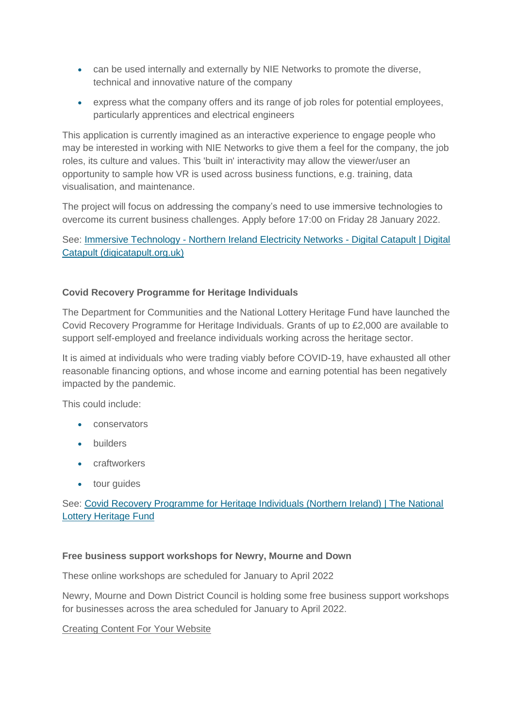- can be used internally and externally by NIE Networks to promote the diverse, technical and innovative nature of the company
- express what the company offers and its range of job roles for potential employees, particularly apprentices and electrical engineers

This application is currently imagined as an interactive experience to engage people who may be interested in working with NIE Networks to give them a feel for the company, the job roles, its culture and values. This 'built in' interactivity may allow the viewer/user an opportunity to sample how VR is used across business functions, e.g. training, data visualisation, and maintenance.

The project will focus on addressing the company's need to use immersive technologies to overcome its current business challenges. Apply before 17:00 on Friday 28 January 2022.

See: Immersive Technology - [Northern Ireland Electricity Networks -](https://www.digicatapult.org.uk/how-we-can-help/live-opportunities/opportunity/immersive-technology-northern-ireland-electricity-networks/) Digital Catapult | Digital [Catapult \(digicatapult.org.uk\)](https://www.digicatapult.org.uk/how-we-can-help/live-opportunities/opportunity/immersive-technology-northern-ireland-electricity-networks/)

# **Covid Recovery Programme for Heritage Individuals**

The Department for Communities and the National Lottery Heritage Fund have launched the Covid Recovery Programme for Heritage Individuals. Grants of up to £2,000 are available to support self-employed and freelance individuals working across the heritage sector.

It is aimed at individuals who were trading viably before COVID-19, have exhausted all other reasonable financing options, and whose income and earning potential has been negatively impacted by the pandemic.

This could include:

- conservators
- **•** builders
- craftworkers
- tour quides

See: [Covid Recovery Programme for Heritage Individuals \(Northern Ireland\) | The National](https://www.heritagefund.org.uk/funding/covid-recovery-programme-for-heritage-individuals)  [Lottery Heritage Fund](https://www.heritagefund.org.uk/funding/covid-recovery-programme-for-heritage-individuals)

#### **Free business support workshops for Newry, Mourne and Down**

These online workshops are scheduled for January to April 2022

Newry, Mourne and Down District Council is holding some free business support workshops for businesses across the area scheduled for January to April 2022.

#### Creating Content For Your Website